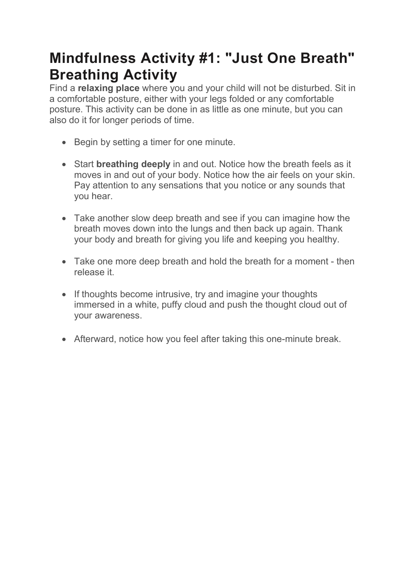## Mindfulness Activity #1: "Just One Breath" Breathing Activity

Find a relaxing place where you and your child will not be disturbed. Sit in a comfortable posture, either with your legs folded or any comfortable posture. This activity can be done in as little as one minute, but you can also do it for longer periods of time.

- Begin by setting a timer for one minute.
- Start breathing deeply in and out. Notice how the breath feels as it moves in and out of your body. Notice how the air feels on your skin. Pay attention to any sensations that you notice or any sounds that you hear.
- Take another slow deep breath and see if you can imagine how the breath moves down into the lungs and then back up again. Thank your body and breath for giving you life and keeping you healthy.
- Take one more deep breath and hold the breath for a moment then release it.
- If thoughts become intrusive, try and imagine your thoughts immersed in a white, puffy cloud and push the thought cloud out of your awareness.
- Afterward, notice how you feel after taking this one-minute break.